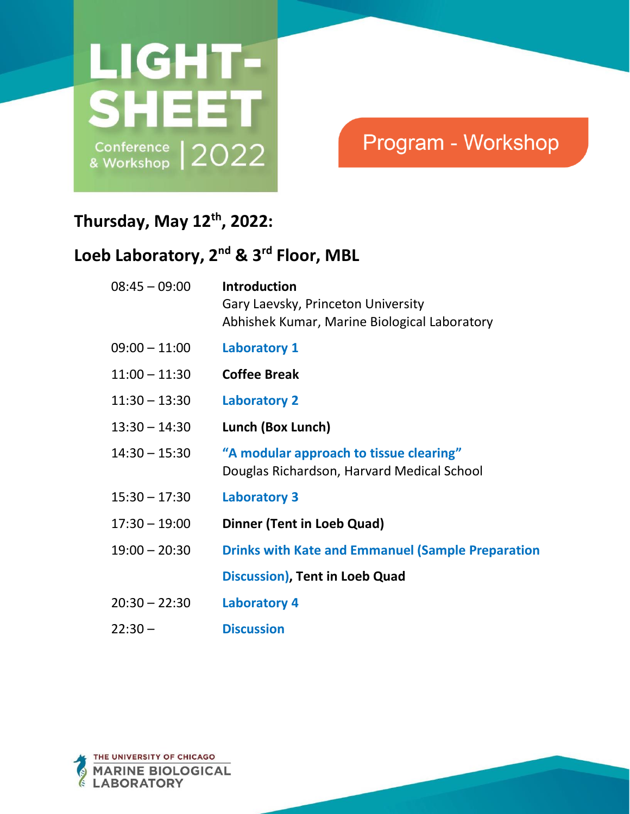

# Program - Workshop

### **Thursday, May 12th, 2022:**

## **Loeb Laboratory, 2 nd & 3rd Floor, MBL**

| $08:45 - 09:00$ | <b>Introduction</b><br>Gary Laevsky, Princeton University<br>Abhishek Kumar, Marine Biological Laboratory |
|-----------------|-----------------------------------------------------------------------------------------------------------|
| $09:00 - 11:00$ | <b>Laboratory 1</b>                                                                                       |
| $11:00 - 11:30$ | <b>Coffee Break</b>                                                                                       |
| $11:30 - 13:30$ | <b>Laboratory 2</b>                                                                                       |
| $13:30 - 14:30$ | Lunch (Box Lunch)                                                                                         |
| $14:30 - 15:30$ | "A modular approach to tissue clearing"<br>Douglas Richardson, Harvard Medical School                     |
| $15:30 - 17:30$ | <b>Laboratory 3</b>                                                                                       |
| $17:30 - 19:00$ | Dinner (Tent in Loeb Quad)                                                                                |
| $19:00 - 20:30$ | <b>Drinks with Kate and Emmanuel (Sample Preparation</b>                                                  |
|                 | Discussion), Tent in Loeb Quad                                                                            |
| $20:30 - 22:30$ | <b>Laboratory 4</b>                                                                                       |
| $22:30 -$       | <b>Discussion</b>                                                                                         |
|                 |                                                                                                           |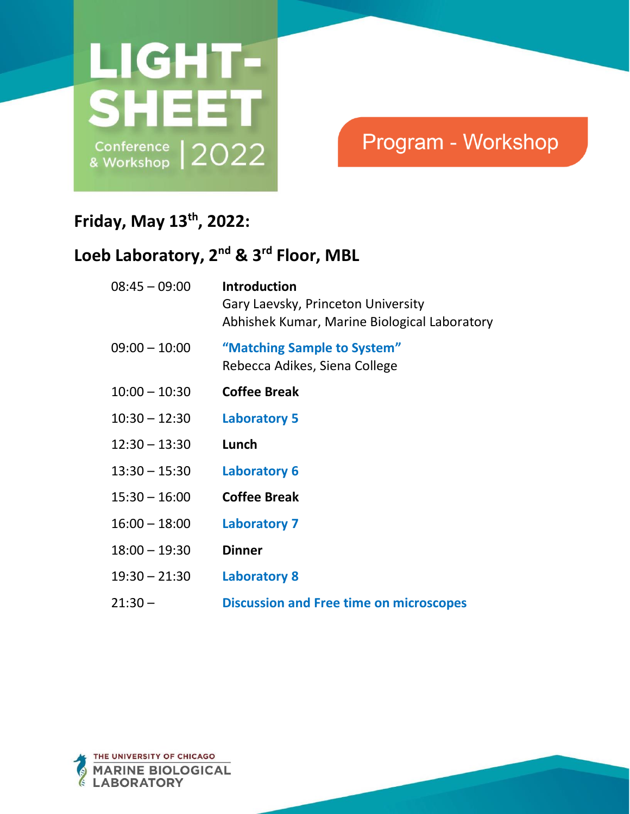

# Program - Workshop

#### **Friday, May 13th, 2022:**

#### **Loeb Laboratory, 2 nd & 3rd Floor, MBL**

| $08:45 - 09:00$ | <b>Introduction</b><br>Gary Laevsky, Princeton University<br>Abhishek Kumar, Marine Biological Laboratory |
|-----------------|-----------------------------------------------------------------------------------------------------------|
| $09:00 - 10:00$ | "Matching Sample to System"<br>Rebecca Adikes, Siena College                                              |
| $10:00 - 10:30$ | <b>Coffee Break</b>                                                                                       |
| $10:30 - 12:30$ | <b>Laboratory 5</b>                                                                                       |
| $12:30 - 13:30$ | Lunch                                                                                                     |
| $13:30 - 15:30$ | <b>Laboratory 6</b>                                                                                       |
| $15:30 - 16:00$ | <b>Coffee Break</b>                                                                                       |
| $16:00 - 18:00$ | <b>Laboratory 7</b>                                                                                       |
| $18:00 - 19:30$ | <b>Dinner</b>                                                                                             |
| $19:30 - 21:30$ | <b>Laboratory 8</b>                                                                                       |
| $21:30-$        | <b>Discussion and Free time on microscopes</b>                                                            |